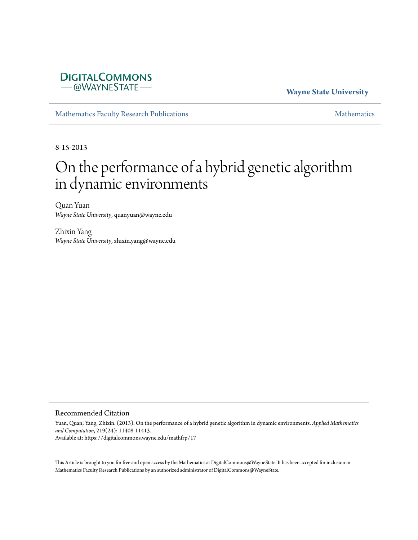# **DIGITALCOMMONS** -@WAYNESTATE-

## **Wayne State University**

[Mathematics Faculty Research Publications](https://digitalcommons.wayne.edu/mathfrp) [Mathematics](https://digitalcommons.wayne.edu/math) Mathematics

8-15-2013

# On the performance of a hybrid genetic algorithm in dynamic environments

Quan Yuan *Wayne State University*, quanyuan@wayne.edu

Zhixin Yang *Wayne State University*, zhixin.yang@wayne.edu

#### Recommended Citation

Yuan, Quan; Yang, Zhixin. (2013). On the performance of a hybrid genetic algorithm in dynamic environments. *Applied Mathematics and Computation*, 219(24): 11408-11413. Available at: https://digitalcommons.wayne.edu/mathfrp/17

This Article is brought to you for free and open access by the Mathematics at DigitalCommons@WayneState. It has been accepted for inclusion in Mathematics Faculty Research Publications by an authorized administrator of DigitalCommons@WayneState.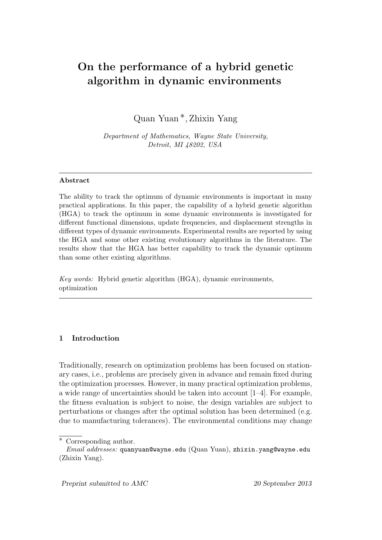# On the performance of a hybrid genetic algorithm in dynamic environments

Quan Yuan ∗, Zhixin Yang

Department of Mathematics, Wayne State University, Detroit, MI 48202, USA

#### Abstract

The ability to track the optimum of dynamic environments is important in many practical applications. In this paper, the capability of a hybrid genetic algorithm (HGA) to track the optimum in some dynamic environments is investigated for different functional dimensions, update frequencies, and displacement strengths in different types of dynamic environments. Experimental results are reported by using the HGA and some other existing evolutionary algorithms in the literature. The results show that the HGA has better capability to track the dynamic optimum than some other existing algorithms.

Key words: Hybrid genetic algorithm (HGA), dynamic environments, optimization

### 1 Introduction

Traditionally, research on optimization problems has been focused on stationary cases, i.e., problems are precisely given in advance and remain fixed during the optimization processes. However, in many practical optimization problems, a wide range of uncertainties should be taken into account [1–4]. For example, the fitness evaluation is subject to noise, the design variables are subject to perturbations or changes after the optimal solution has been determined (e.g. due to manufacturing tolerances). The environmental conditions may change

<sup>∗</sup> Corresponding author.

Email addresses: quanyuan@wayne.edu (Quan Yuan), zhixin.yang@wayne.edu (Zhixin Yang).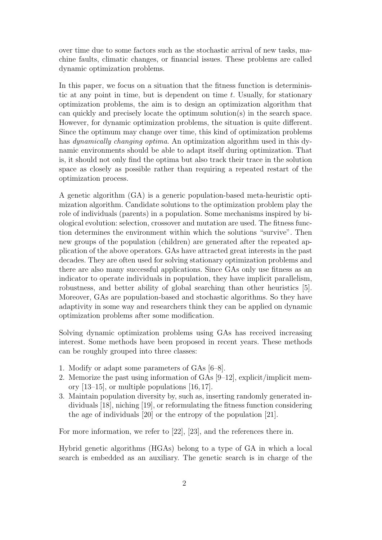over time due to some factors such as the stochastic arrival of new tasks, machine faults, climatic changes, or financial issues. These problems are called dynamic optimization problems.

In this paper, we focus on a situation that the fitness function is deterministic at any point in time, but is dependent on time  $t$ . Usually, for stationary optimization problems, the aim is to design an optimization algorithm that can quickly and precisely locate the optimum solution(s) in the search space. However, for dynamic optimization problems, the situation is quite different. Since the optimum may change over time, this kind of optimization problems has dynamically changing optima. An optimization algorithm used in this dynamic environments should be able to adapt itself during optimization. That is, it should not only find the optima but also track their trace in the solution space as closely as possible rather than requiring a repeated restart of the optimization process.

A genetic algorithm (GA) is a generic population-based meta-heuristic optimization algorithm. Candidate solutions to the optimization problem play the role of individuals (parents) in a population. Some mechanisms inspired by biological evolution: selection, crossover and mutation are used. The fitness function determines the environment within which the solutions "survive". Then new groups of the population (children) are generated after the repeated application of the above operators. GAs have attracted great interests in the past decades. They are often used for solving stationary optimization problems and there are also many successful applications. Since GAs only use fitness as an indicator to operate individuals in population, they have implicit parallelism, robustness, and better ability of global searching than other heuristics [5]. Moreover, GAs are population-based and stochastic algorithms. So they have adaptivity in some way and researchers think they can be applied on dynamic optimization problems after some modification.

Solving dynamic optimization problems using GAs has received increasing interest. Some methods have been proposed in recent years. These methods can be roughly grouped into three classes:

- 1. Modify or adapt some parameters of GAs [6–8].
- 2. Memorize the past using information of GAs [9–12], explicit/implicit memory [13–15], or multiple populations [16, 17].
- 3. Maintain population diversity by, such as, inserting randomly generated individuals [18], niching [19], or reformulating the fitness function considering the age of individuals [20] or the entropy of the population [21].

For more information, we refer to [22], [23], and the references there in.

Hybrid genetic algorithms (HGAs) belong to a type of GA in which a local search is embedded as an auxiliary. The genetic search is in charge of the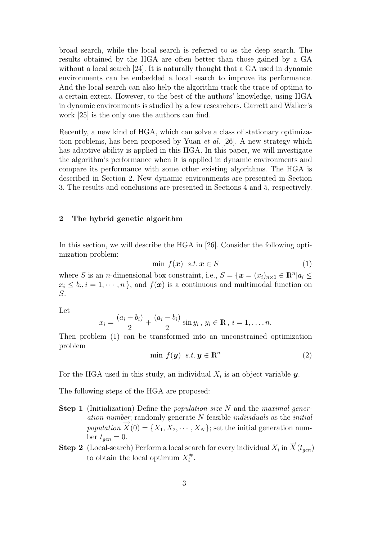broad search, while the local search is referred to as the deep search. The results obtained by the HGA are often better than those gained by a GA without a local search [24]. It is naturally thought that a GA used in dynamic environments can be embedded a local search to improve its performance. And the local search can also help the algorithm track the trace of optima to a certain extent. However, to the best of the authors' knowledge, using HGA in dynamic environments is studied by a few researchers. Garrett and Walker's work [25] is the only one the authors can find.

Recently, a new kind of HGA, which can solve a class of stationary optimization problems, has been proposed by Yuan et al. [26]. A new strategy which has adaptive ability is applied in this HGA. In this paper, we will investigate the algorithm's performance when it is applied in dynamic environments and compare its performance with some other existing algorithms. The HGA is described in Section 2. New dynamic environments are presented in Section 3. The results and conclusions are presented in Sections 4 and 5, respectively.

#### 2 The hybrid genetic algorithm

In this section, we will describe the HGA in [26]. Consider the following optimization problem:

$$
\min f(\mathbf{x}) \ \ s.t. \ \mathbf{x} \in S \tag{1}
$$

where S is an *n*-dimensional box constraint, i.e.,  $S = {\mathbf{x} = (x_i)_{n \times 1} \in \mathbb{R}^n | a_i \leq \mathbb{R}^n}$  $x_i \leq b_i, i = 1, \dots, n$ , and  $f(\boldsymbol{x})$  is a continuous and multimodal function on S.

Let

$$
x_i = \frac{(a_i + b_i)}{2} + \frac{(a_i - b_i)}{2} \sin y_i, \ y_i \in \mathbb{R}, \ i = 1, \dots, n.
$$

Then problem (1) can be transformed into an unconstrained optimization problem

$$
\min f(\mathbf{y}) \ \ s.t. \ \mathbf{y} \in \mathbb{R}^n \tag{2}
$$

For the HGA used in this study, an individual  $X_i$  is an object variable  $y$ .

The following steps of the HGA are proposed:

- **Step 1** (Initialization) Define the *population size* N and the *maximal gener*ation number; randomly generate  $N$  feasible *individuals* as the *initial* population  $\overrightarrow{X}(0) = \{X_1, X_2, \cdots, X_N\}$ ; set the initial generation number  $t_{gen} = 0$ .
- **Step 2** (Local-search) Perform a local search for every individual  $X_i$  in  $\overrightarrow{X}(t_{gen})$ to obtain the local optimum  $X_i^{\#}$  $\frac{\#}{i}$  .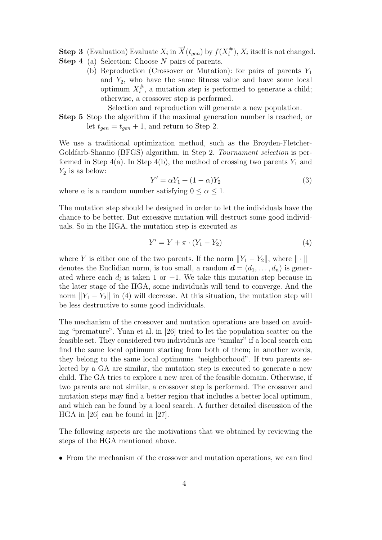- **Step 3** (Evaluation) Evaluate  $X_i$  in  $\overrightarrow{X}(t_{gen})$  by  $f(X_i^{\#})$  $\binom{\#}{i}$ ,  $X_i$  itself is not changed.
- Step 4 (a) Selection: Choose N pairs of parents.
	- (b) Reproduction (Crossover or Mutation): for pairs of parents  $Y_1$ and  $Y_2$ , who have the same fitness value and have some local optimum  $X_i^{\#}$  $\hat{i}$ , a mutation step is performed to generate a child; otherwise, a crossover step is performed.

Selection and reproduction will generate a new population.

Step 5 Stop the algorithm if the maximal generation number is reached, or let  $t_{gen} = t_{gen} + 1$ , and return to Step 2.

We use a traditional optimization method, such as the Broyden-Fletcher-Goldfarb-Shanno (BFGS) algorithm, in Step 2. Tournament selection is performed in Step  $4(a)$ . In Step  $4(b)$ , the method of crossing two parents  $Y_1$  and  $Y_2$  is as below:

$$
Y' = \alpha Y_1 + (1 - \alpha)Y_2 \tag{3}
$$

where  $\alpha$  is a random number satisfying  $0 \leq \alpha \leq 1$ .

The mutation step should be designed in order to let the individuals have the chance to be better. But excessive mutation will destruct some good individuals. So in the HGA, the mutation step is executed as

$$
Y' = Y + \pi \cdot (Y_1 - Y_2) \tag{4}
$$

where Y is either one of the two parents. If the norm  $||Y_1 - Y_2||$ , where  $|| \cdot ||$ denotes the Euclidian norm, is too small, a random  $\mathbf{d} = (d_1, \ldots, d_n)$  is generated where each  $d_i$  is taken 1 or -1. We take this mutation step because in the later stage of the HGA, some individuals will tend to converge. And the norm  $||Y_1 - Y_2||$  in (4) will decrease. At this situation, the mutation step will be less destructive to some good individuals.

The mechanism of the crossover and mutation operations are based on avoiding "premature". Yuan et al. in [26] tried to let the population scatter on the feasible set. They considered two individuals are "similar" if a local search can find the same local optimum starting from both of them; in another words, they belong to the same local optimums "neighborhood". If two parents selected by a GA are similar, the mutation step is executed to generate a new child. The GA tries to explore a new area of the feasible domain. Otherwise, if two parents are not similar, a crossover step is performed. The crossover and mutation steps may find a better region that includes a better local optimum, and which can be found by a local search. A further detailed discussion of the HGA in [26] can be found in [27].

The following aspects are the motivations that we obtained by reviewing the steps of the HGA mentioned above.

• From the mechanism of the crossover and mutation operations, we can find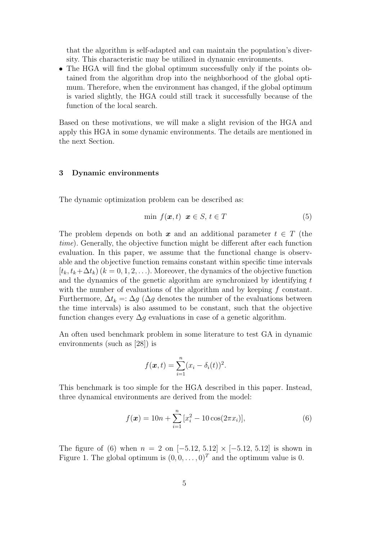that the algorithm is self-adapted and can maintain the population's diversity. This characteristic may be utilized in dynamic environments.

• The HGA will find the global optimum successfully only if the points obtained from the algorithm drop into the neighborhood of the global optimum. Therefore, when the environment has changed, if the global optimum is varied slightly, the HGA could still track it successfully because of the function of the local search.

Based on these motivations, we will make a slight revision of the HGA and apply this HGA in some dynamic environments. The details are mentioned in the next Section.

#### 3 Dynamic environments

The dynamic optimization problem can be described as:

$$
\min f(\boldsymbol{x}, t) \ \boldsymbol{x} \in S, \, t \in T \tag{5}
$$

The problem depends on both x and an additional parameter  $t \in T$  (the time). Generally, the objective function might be different after each function evaluation. In this paper, we assume that the functional change is observable and the objective function remains constant within specific time intervals  $[t_k, t_k+\Delta t_k]$   $(k = 0, 1, 2, \ldots)$ . Moreover, the dynamics of the objective function and the dynamics of the genetic algorithm are synchronized by identifying  $t$ with the number of evaluations of the algorithm and by keeping f constant. Furthermore,  $\Delta t_k =: \Delta g$  ( $\Delta g$  denotes the number of the evaluations between the time intervals) is also assumed to be constant, such that the objective function changes every  $\Delta q$  evaluations in case of a genetic algorithm.

An often used benchmark problem in some literature to test GA in dynamic environments (such as [28]) is

$$
f(\boldsymbol{x},t)=\sum_{i=1}^n(x_i-\delta_i(t))^2.
$$

This benchmark is too simple for the HGA described in this paper. Instead, three dynamical environments are derived from the model:

$$
f(\boldsymbol{x}) = 10n + \sum_{i=1}^{n} [x_i^2 - 10\cos(2\pi x_i)],
$$
\n(6)

The figure of (6) when  $n = 2$  on  $[-5.12, 5.12] \times [-5.12, 5.12]$  is shown in Figure 1. The global optimum is  $(0, 0, \ldots, 0)^T$  and the optimum value is 0.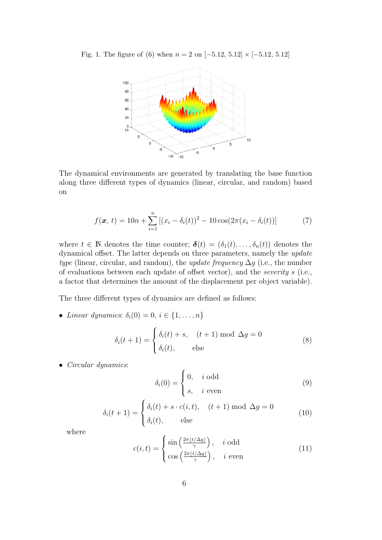Fig. 1. The figure of (6) when  $n = 2$  on  $[-5.12, 5.12] \times [-5.12, 5.12]$ 



The dynamical environments are generated by translating the base function along three different types of dynamics (linear, circular, and random) based on

$$
f(\boldsymbol{x}, t) = 10n + \sum_{i=1}^{n} [(x_i - \delta_i(t))^2 - 10\cos(2\pi(x_i - \delta_i(t)))] \tag{7}
$$

where  $t \in \mathbb{N}$  denotes the time counter;  $\boldsymbol{\delta}(t) = (\delta_1(t), \ldots, \delta_n(t))$  denotes the dynamical offset. The latter depends on three parameters, namely the update type (linear, circular, and random), the *update frequency*  $\Delta g$  (i.e., the number of evaluations between each update of offset vector), and the severity s (i.e., a factor that determines the amount of the displacement per object variable).

The three different types of dynamics are defined as follows:

• Linear dynamics:  $\delta_i(0) = 0, i \in \{1, \ldots, n\}$ 

$$
\delta_i(t+1) = \begin{cases} \delta_i(t) + s, & (t+1) \text{ mod } \Delta g = 0\\ \delta_i(t), & \text{else} \end{cases}
$$
 (8)

• Circular dynamics:

$$
\delta_i(0) = \begin{cases} 0, & i \text{ odd} \\ s, & i \text{ even} \end{cases}
$$
 (9)

$$
\delta_i(t+1) = \begin{cases} \delta_i(t) + s \cdot c(i, t), & (t+1) \bmod \Delta g = 0 \\ \delta_i(t), & \text{else} \end{cases}
$$
(10)

where

$$
c(i,t) = \begin{cases} \sin\left(\frac{2\pi \lfloor t/\Delta g \rfloor}{\gamma}\right), & i \text{ odd} \\ \cos\left(\frac{2\pi \lfloor t/\Delta g \rfloor}{\gamma}\right), & i \text{ even} \end{cases}
$$
(11)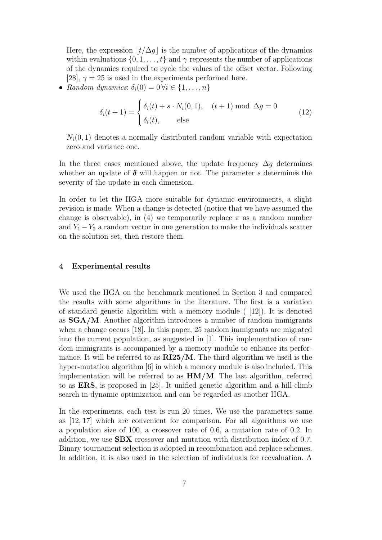Here, the expression  $\lfloor t/\Delta g \rfloor$  is the number of applications of the dynamics within evaluations  $\{0, 1, \ldots, t\}$  and  $\gamma$  represents the number of applications of the dynamics required to cycle the values of the offset vector. Following [28],  $\gamma = 25$  is used in the experiments performed here.

• Random dynamics:  $\delta_i(0) = 0 \forall i \in \{1, \ldots, n\}$ 

$$
\delta_i(t+1) = \begin{cases} \delta_i(t) + s \cdot N_i(0,1), & (t+1) \bmod \Delta g = 0 \\ \delta_i(t), & \text{else} \end{cases}
$$
(12)

 $N_i(0, 1)$  denotes a normally distributed random variable with expectation zero and variance one.

In the three cases mentioned above, the update frequency  $\Delta g$  determines whether an update of  $\delta$  will happen or not. The parameter s determines the severity of the update in each dimension.

In order to let the HGA more suitable for dynamic environments, a slight revision is made. When a change is detected (notice that we have assumed the change is observable), in (4) we temporarily replace  $\pi$  as a random number and  $Y_1 - Y_2$  a random vector in one generation to make the individuals scatter on the solution set, then restore them.

#### 4 Experimental results

We used the HGA on the benchmark mentioned in Section 3 and compared the results with some algorithms in the literature. The first is a variation of standard genetic algorithm with a memory module ( [12]). It is denoted as SGA/M. Another algorithm introduces a number of random immigrants when a change occurs [18]. In this paper, 25 random immigrants are migrated into the current population, as suggested in [1]. This implementation of random immigrants is accompanied by a memory module to enhance its performance. It will be referred to as  $\text{RI25}/\text{M}$ . The third algorithm we used is the hyper-mutation algorithm [6] in which a memory module is also included. This implementation will be referred to as  $HM/M$ . The last algorithm, referred to as ERS, is proposed in [25]. It unified genetic algorithm and a hill-climb search in dynamic optimization and can be regarded as another HGA.

In the experiments, each test is run 20 times. We use the parameters same as [12, 17] which are convenient for comparison. For all algorithms we use a population size of 100, a crossover rate of 0.6, a mutation rate of 0.2. In addition, we use SBX crossover and mutation with distribution index of 0.7. Binary tournament selection is adopted in recombination and replace schemes. In addition, it is also used in the selection of individuals for reevaluation. A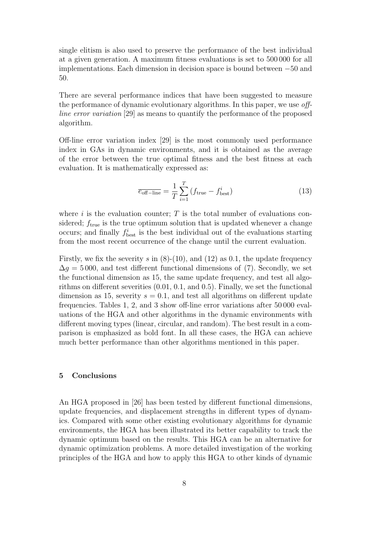single elitism is also used to preserve the performance of the best individual at a given generation. A maximum fitness evaluations is set to 500 000 for all implementations. Each dimension in decision space is bound between −50 and 50.

There are several performance indices that have been suggested to measure the performance of dynamic evolutionary algorithms. In this paper, we use offline error variation [29] as means to quantify the performance of the proposed algorithm.

Off-line error variation index [29] is the most commonly used performance index in GAs in dynamic environments, and it is obtained as the average of the error between the true optimal fitness and the best fitness at each evaluation. It is mathematically expressed as:

$$
\overline{e_{\text{off-line}}} = \frac{1}{T} \sum_{i=1}^{T} \left( f_{\text{true}} - f_{\text{best}}^i \right) \tag{13}
$$

where  $i$  is the evaluation counter;  $T$  is the total number of evaluations considered;  $f_{true}$  is the true optimum solution that is updated whenever a change occurs; and finally  $f_{\text{best}}^i$  is the best individual out of the evaluations starting from the most recent occurrence of the change until the current evaluation.

Firstly, we fix the severity s in  $(8)-(10)$ , and  $(12)$  as 0.1, the update frequency  $\Delta g = 5000$ , and test different functional dimensions of (7). Secondly, we set the functional dimension as 15, the same update frequency, and test all algorithms on different severities (0.01, 0.1, and 0.5). Finally, we set the functional dimension as 15, severity  $s = 0.1$ , and test all algorithms on different update frequencies. Tables 1, 2, and 3 show off-line error variations after 50 000 evaluations of the HGA and other algorithms in the dynamic environments with different moving types (linear, circular, and random). The best result in a comparison is emphasized as bold font. In all these cases, the HGA can achieve much better performance than other algorithms mentioned in this paper.

#### 5 Conclusions

An HGA proposed in [26] has been tested by different functional dimensions, update frequencies, and displacement strengths in different types of dynamics. Compared with some other existing evolutionary algorithms for dynamic environments, the HGA has been illustrated its better capability to track the dynamic optimum based on the results. This HGA can be an alternative for dynamic optimization problems. A more detailed investigation of the working principles of the HGA and how to apply this HGA to other kinds of dynamic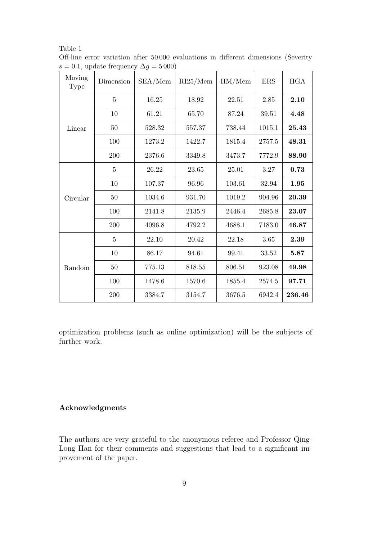| Moving<br><b>Type</b> | Dimension      | SEA/Mem | RI25/Mem | HM/Mem | ERS      | HGA    |
|-----------------------|----------------|---------|----------|--------|----------|--------|
| Linear                | $\overline{5}$ | 16.25   | 18.92    | 22.51  | $2.85\,$ | 2.10   |
|                       | $10\,$         | 61.21   | 65.70    | 87.24  | 39.51    | 4.48   |
|                       | $50\,$         | 528.32  | 557.37   | 738.44 | 1015.1   | 25.43  |
|                       | 100            | 1273.2  | 1422.7   | 1815.4 | 2757.5   | 48.31  |
|                       | 200            | 2376.6  | 3349.8   | 3473.7 | 7772.9   | 88.90  |
| Circular              | $\overline{5}$ | 26.22   | 23.65    | 25.01  | $3.27\,$ | 0.73   |
|                       | 10             | 107.37  | 96.96    | 103.61 | 32.94    | 1.95   |
|                       | $50\,$         | 1034.6  | 931.70   | 1019.2 | 904.96   | 20.39  |
|                       | $100\,$        | 2141.8  | 2135.9   | 2446.4 | 2685.8   | 23.07  |
|                       | $200\,$        | 4096.8  | 4792.2   | 4688.1 | 7183.0   | 46.87  |
| Random                | $\overline{5}$ | 22.10   | 20.42    | 22.18  | 3.65     | 2.39   |
|                       | 10             | 86.17   | 94.61    | 99.41  | 33.52    | 5.87   |
|                       | $50\,$         | 775.13  | 818.55   | 806.51 | 923.08   | 49.98  |
|                       | 100            | 1478.6  | 1570.6   | 1855.4 | 2574.5   | 97.71  |
|                       | $200\,$        | 3384.7  | 3154.7   | 3676.5 | 6942.4   | 236.46 |

Table 1 Off-line error variation after 50 000 evaluations in different dimensions (Severity s = 0.1, update frequency  $\Delta g = 5000$ 

optimization problems (such as online optimization) will be the subjects of further work.

# Acknowledgments

The authors are very grateful to the anonymous referee and Professor Qing-Long Han for their comments and suggestions that lead to a significant improvement of the paper.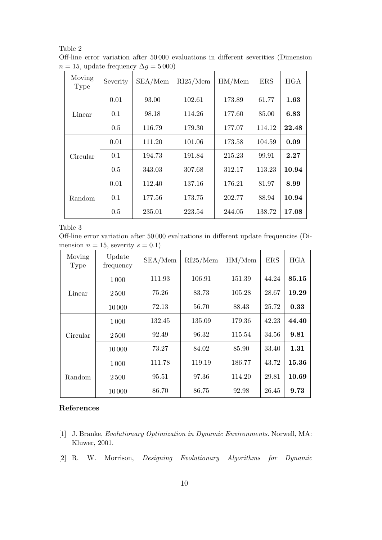| $a = 15$ , update frequency $\Delta q = 5000$ |          |         |          |        |            |            |  |  |
|-----------------------------------------------|----------|---------|----------|--------|------------|------------|--|--|
| Moving<br><b>Type</b>                         | Severity | SEA/Mem | RI25/Mem | HM/Mem | <b>ERS</b> | <b>HGA</b> |  |  |
| Linear                                        | 0.01     | 93.00   | 102.61   | 173.89 | 61.77      | 1.63       |  |  |
|                                               | 0.1      | 98.18   | 114.26   | 177.60 | 85.00      | 6.83       |  |  |
|                                               | 0.5      | 116.79  | 179.30   | 177.07 | 114.12     | 22.48      |  |  |
| Circular                                      | 0.01     | 111.20  | 101.06   | 173.58 | 104.59     | 0.09       |  |  |
|                                               | 0.1      | 194.73  | 191.84   | 215.23 | 99.91      | 2.27       |  |  |
|                                               | 0.5      | 343.03  | 307.68   | 312.17 | 113.23     | 10.94      |  |  |
| Random                                        | 0.01     | 112.40  | 137.16   | 176.21 | 81.97      | 8.99       |  |  |
|                                               | 0.1      | 177.56  | 173.75   | 202.77 | 88.94      | 10.94      |  |  |
|                                               | 0.5      | 235.01  | 223.54   | 244.05 | 138.72     | 17.08      |  |  |

Table 2 Off-line error variation after 50 000 evaluations in different severities (Dimension  $n = 15$ , update frequency  $\Delta g = 5000$ 

Table 3

Off-line error variation after 50 000 evaluations in different update frequencies (Dimension  $n = 15$ , severity  $s = 0.1$ )

| Moving<br><b>Type</b> | Update<br>frequency | SEA/Mem | RI25/Mem | HM/Mem | <b>ERS</b> | <b>HGA</b> |
|-----------------------|---------------------|---------|----------|--------|------------|------------|
| Linear                | 1000                | 111.93  | 106.91   | 151.39 | 44.24      | 85.15      |
|                       | 2500                | 75.26   | 83.73    | 105.28 | 28.67      | 19.29      |
|                       | 10000               | 72.13   | 56.70    | 88.43  | 25.72      | 0.33       |
| Circular              | 1000                | 132.45  | 135.09   | 179.36 | 42.23      | 44.40      |
|                       | 2500                | 92.49   | 96.32    | 115.54 | 34.56      | 9.81       |
|                       | 10000               | 73.27   | 84.02    | 85.90  | 33.40      | 1.31       |
| Random                | 1 0 0 0             | 111.78  | 119.19   | 186.77 | 43.72      | 15.36      |
|                       | 2500                | 95.51   | 97.36    | 114.20 | 29.81      | 10.69      |
|                       | 10000               | 86.70   | 86.75    | 92.98  | 26.45      | 9.73       |

#### References

- [1] J. Branke, Evolutionary Optimization in Dynamic Environments. Norwell, MA: Kluwer, 2001.
- [2] R. W. Morrison, Designing Evolutionary Algorithms for Dynamic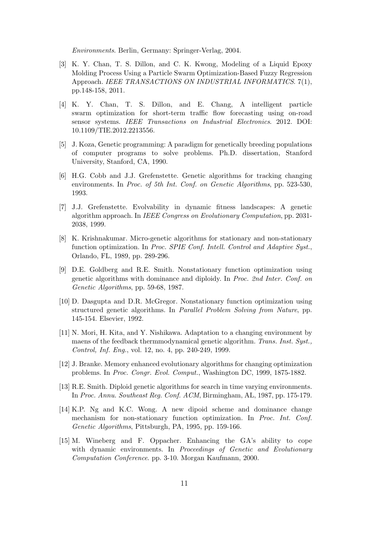Environments. Berlin, Germany: Springer-Verlag, 2004.

- [3] K. Y. Chan, T. S. Dillon, and C. K. Kwong, Modeling of a Liquid Epoxy Molding Process Using a Particle Swarm Optimization-Based Fuzzy Regression Approach. IEEE TRANSACTIONS ON INDUSTRIAL INFORMATICS. 7(1), pp.148-158, 2011.
- [4] K. Y. Chan, T. S. Dillon, and E. Chang, A intelligent particle swarm optimization for short-term traffic flow forecasting using on-road sensor systems. IEEE Transactions on Industrial Electronics. 2012. DOI: 10.1109/TIE.2012.2213556.
- [5] J. Koza, Genetic programming: A paradigm for genetically breeding populations of computer programs to solve problems. Ph.D. dissertation, Stanford University, Stanford, CA, 1990.
- [6] H.G. Cobb and J.J. Grefenstette. Genetic algorithms for tracking changing environments. In Proc. of 5th Int. Conf. on Genetic Algorithms, pp. 523-530, 1993.
- [7] J.J. Grefenstette. Evolvability in dynamic fitness landscapes: A genetic algorithm approach. In IEEE Congress on Evolutionary Computation, pp. 2031- 2038, 1999.
- [8] K. Krishnakumar. Micro-genetic algorithms for stationary and non-stationary function optimization. In Proc. SPIE Conf. Intell. Control and Adaptive Syst., Orlando, FL, 1989, pp. 289-296.
- [9] D.E. Goldberg and R.E. Smith. Nonstationary function optimization using genetic algorithms with dominance and diploidy. In Proc. 2nd Inter. Conf. on Genetic Algorithms, pp. 59-68, 1987.
- [10] D. Dasgupta and D.R. McGregor. Nonstationary function optimization using structured genetic algorithms. In Parallel Problem Solving from Nature, pp. 145-154. Elsevier, 1992.
- [11] N. Mori, H. Kita, and Y. Nishikawa. Adaptation to a changing environment by maens of the feedback thermmodynamical genetic algorithm. Trans. Inst. Syst., Control, Inf. Eng., vol. 12, no. 4, pp. 240-249, 1999.
- [12] J. Branke. Memory enhanced evolutionary algorithms for changing optimization problems. In Proc. Congr. Evol. Comput., Washington DC, 1999, 1875-1882.
- [13] R.E. Smith. Diploid genetic algorithms for search in time varying environments. In Proc. Annu. Southeast Reg. Conf. ACM, Birmingham, AL, 1987, pp. 175-179.
- [14] K.P. Ng and K.C. Wong. A new dipoid scheme and dominance change mechanism for non-stationary function optimization. In Proc. Int. Conf. Genetic Algorithms, Pittsburgh, PA, 1995, pp. 159-166.
- [15] M. Wineberg and F. Oppacher. Enhancing the GA's ability to cope with dynamic environments. In Proceedings of Genetic and Evolutionary Computation Conference. pp. 3-10. Morgan Kaufmann, 2000.